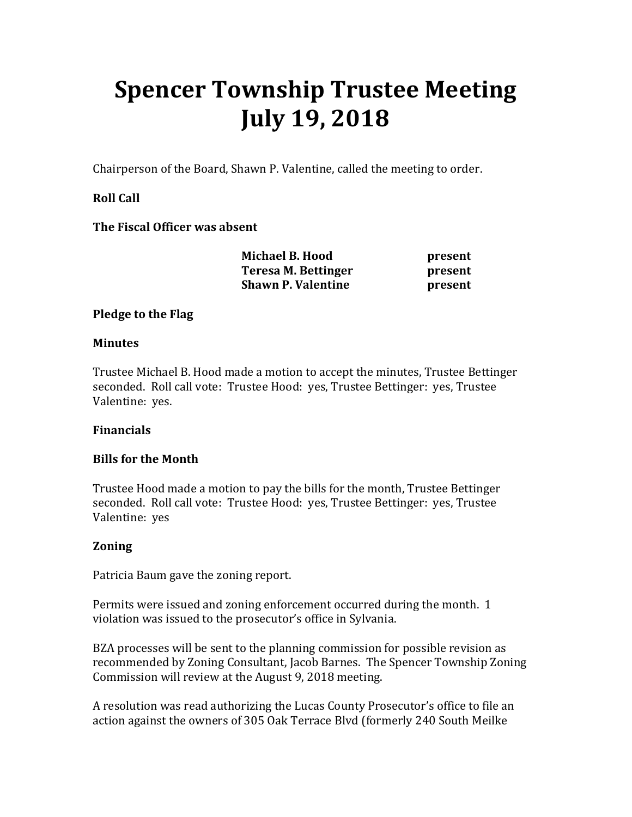# **Spencer Township Trustee Meeting July 19, 2018**

Chairperson of the Board, Shawn P. Valentine, called the meeting to order.

## **Roll Call**

**The Fiscal Officer was absent** 

| <b>Michael B. Hood</b>    | present |
|---------------------------|---------|
| Teresa M. Bettinger       | present |
| <b>Shawn P. Valentine</b> | present |

### **Pledge to the Flag**

#### **Minutes**

Trustee Michael B. Hood made a motion to accept the minutes, Trustee Bettinger seconded. Roll call vote: Trustee Hood: yes, Trustee Bettinger: yes, Trustee Valentine: yes.

## **Financials**

## **Bills for the Month**

Trustee Hood made a motion to pay the bills for the month, Trustee Bettinger seconded. Roll call vote: Trustee Hood: yes, Trustee Bettinger: yes, Trustee Valentine: yes

## **Zoning**

Patricia Baum gave the zoning report.

Permits were issued and zoning enforcement occurred during the month. 1 violation was issued to the prosecutor's office in Sylvania.

BZA processes will be sent to the planning commission for possible revision as recommended by Zoning Consultant, Jacob Barnes. The Spencer Township Zoning Commission will review at the August 9, 2018 meeting.

A resolution was read authorizing the Lucas County Prosecutor's office to file an action against the owners of 305 Oak Terrace Blvd (formerly 240 South Meilke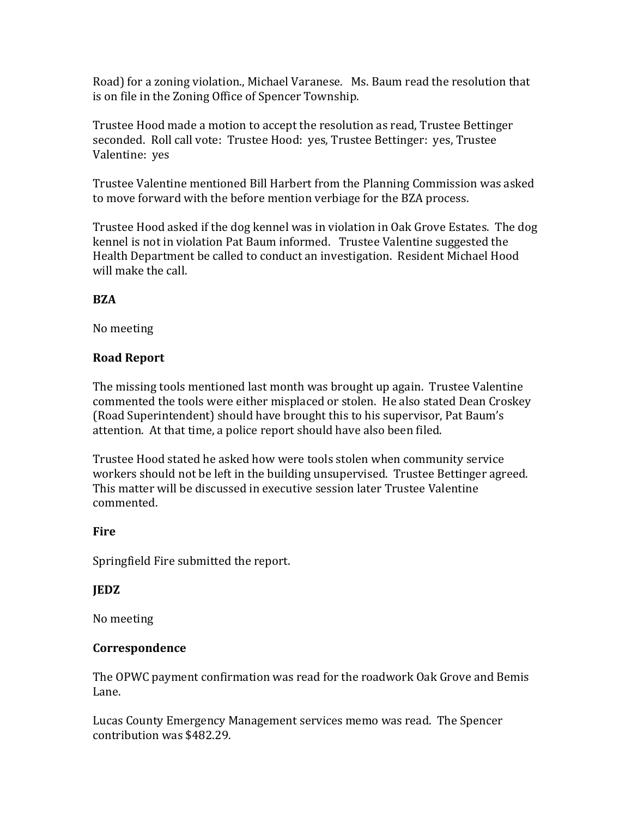Road) for a zoning violation., Michael Varanese. Ms. Baum read the resolution that is on file in the Zoning Office of Spencer Township.

Trustee Hood made a motion to accept the resolution as read, Trustee Bettinger seconded. Roll call vote: Trustee Hood: yes, Trustee Bettinger: yes, Trustee Valentine: yes

Trustee Valentine mentioned Bill Harbert from the Planning Commission was asked to move forward with the before mention verbiage for the BZA process.

Trustee Hood asked if the dog kennel was in violation in Oak Grove Estates. The dog kennel is not in violation Pat Baum informed. Trustee Valentine suggested the Health Department be called to conduct an investigation. Resident Michael Hood will make the call.

## **BZA**

No meeting

### **Road Report**

The missing tools mentioned last month was brought up again. Trustee Valentine commented the tools were either misplaced or stolen. He also stated Dean Croskey (Road Superintendent) should have brought this to his supervisor, Pat Baum's attention. At that time, a police report should have also been filed.

Trustee Hood stated he asked how were tools stolen when community service workers should not be left in the building unsupervised. Trustee Bettinger agreed. This matter will be discussed in executive session later Trustee Valentine commented.

#### **Fire**

Springfield Fire submitted the report.

## **JEDZ**

No meeting

#### **Correspondence**

The OPWC payment confirmation was read for the roadwork Oak Grove and Bemis Lane.

Lucas County Emergency Management services memo was read. The Spencer contribution was \$482.29.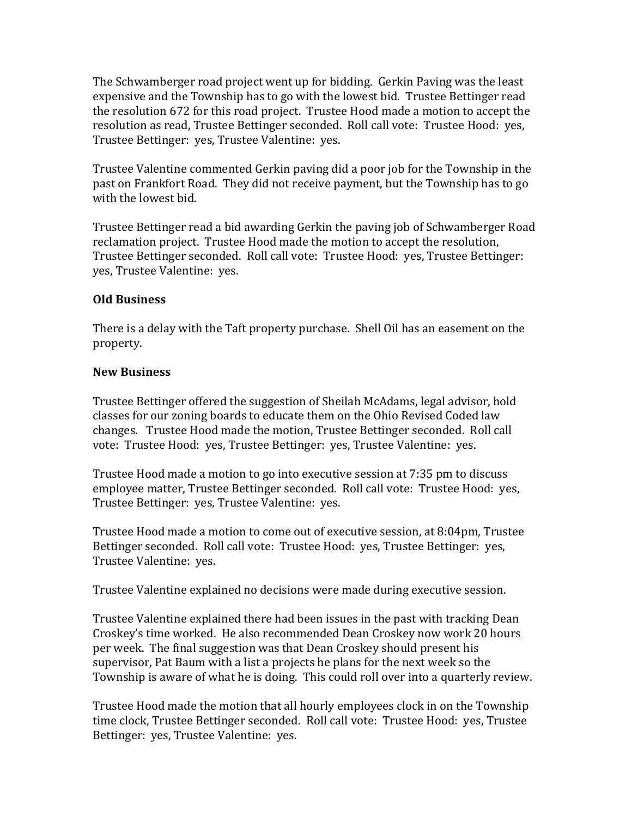The Schwamberger road project went up for bidding. Gerkin Paving was the least expensive and the Township has to go with the lowest bid. Trustee Bettinger read the resolution 672 for this road project. Trustee Hood made a motion to accept the resolution as read, Trustee Bettinger seconded. Roll call vote: Trustee Hood: yes, Trustee Bettinger: yes, Trustee Valentine: yes.

Trustee Valentine commented Gerkin paving did a poor job for the Township in the past on Frankfort Road. They did not receive payment, but the Township has to go with the lowest bid.

Trustee Bettinger read a bid awarding Gerkin the paving job of Schwamberger Road reclamation project. Trustee Hood made the motion to accept the resolution, Trustee Bettinger seconded. Roll call vote: Trustee Hood: yes, Trustee Bettinger: yes, Trustee Valentine: yes.

#### **Old Business**

There is a delay with the Taft property purchase. Shell Oil has an easement on the property.

#### **New Business**

Trustee Bettinger offered the suggestion of Sheilah McAdams, legal advisor, hold classes for our zoning boards to educate them on the Ohio Revised Coded law changes. Trustee Hood made the motion, Trustee Bettinger seconded. Roll call vote: Trustee Hood: yes, Trustee Bettinger: yes, Trustee Valentine: yes.

Trustee Hood made a motion to go into executive session at 7:35 pm to discuss employee matter, Trustee Bettinger seconded. Roll call vote: Trustee Hood: yes, Trustee Bettinger: yes, Trustee Valentine: yes.

Trustee Hood made a motion to come out of executive session, at 8:04pm, Trustee Bettinger seconded. Roll call vote: Trustee Hood: yes, Trustee Bettinger: yes, Trustee Valentine: yes.

Trustee Valentine explained no decisions were made during executive session.

Trustee Valentine explained there had been issues in the past with tracking Dean Croskey's time worked. He also recommended Dean Croskey now work 20 hours per week. The final suggestion was that Dean Croskey should present his supervisor, Pat Baum with a list a projects he plans for the next week so the Township is aware of what he is doing. This could roll over into a quarterly review.

Trustee Hood made the motion that all hourly employees clock in on the Township time clock, Trustee Bettinger seconded. Roll call vote: Trustee Hood: yes, Trustee Bettinger: yes, Trustee Valentine: yes.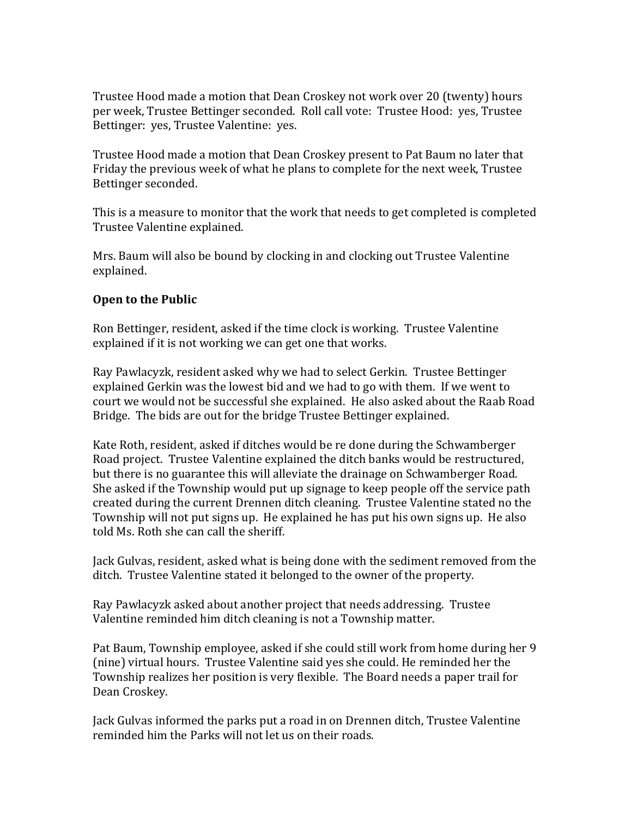Trustee Hood made a motion that Dean Croskey not work over 20 (twenty) hours per week, Trustee Bettinger seconded. Roll call vote: Trustee Hood: yes, Trustee Bettinger: yes, Trustee Valentine: yes.

Trustee Hood made a motion that Dean Croskey present to Pat Baum no later that Friday the previous week of what he plans to complete for the next week, Trustee Bettinger seconded.

This is a measure to monitor that the work that needs to get completed is completed Trustee Valentine explained.

Mrs. Baum will also be bound by clocking in and clocking out Trustee Valentine explained.

### **Open to the Public**

Ron Bettinger, resident, asked if the time clock is working. Trustee Valentine explained if it is not working we can get one that works.

Ray Pawlacyzk, resident asked why we had to select Gerkin. Trustee Bettinger explained Gerkin was the lowest bid and we had to go with them. If we went to court we would not be successful she explained. He also asked about the Raab Road Bridge. The bids are out for the bridge Trustee Bettinger explained.

Kate Roth, resident, asked if ditches would be re done during the Schwamberger Road project. Trustee Valentine explained the ditch banks would be restructured, but there is no guarantee this will alleviate the drainage on Schwamberger Road. She asked if the Township would put up signage to keep people off the service path created during the current Drennen ditch cleaning. Trustee Valentine stated no the Township will not put signs up. He explained he has put his own signs up. He also told Ms. Roth she can call the sheriff.

Jack Gulvas, resident, asked what is being done with the sediment removed from the ditch. Trustee Valentine stated it belonged to the owner of the property.

Ray Pawlacyzk asked about another project that needs addressing. Trustee Valentine reminded him ditch cleaning is not a Township matter.

Pat Baum, Township employee, asked if she could still work from home during her 9 (nine) virtual hours. Trustee Valentine said yes she could. He reminded her the Township realizes her position is very flexible. The Board needs a paper trail for Dean Croskey.

Jack Gulvas informed the parks put a road in on Drennen ditch, Trustee Valentine reminded him the Parks will not let us on their roads.